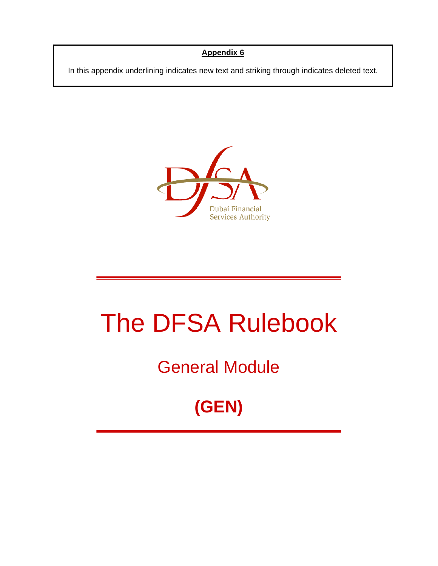### **Appendix 6**

In this appendix underlining indicates new text and striking through indicates deleted text.



# The DFSA Rulebook

# General Module

# **(GEN)**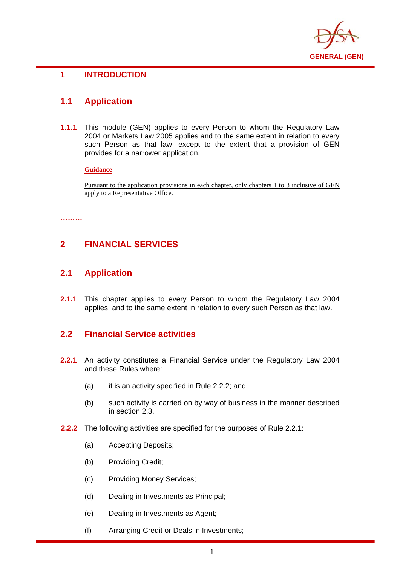

#### **1 INTRODUCTION**

### **1.1 Application**

**1.1.1** This module (GEN) applies to every Person to whom the Regulatory Law 2004 or Markets Law 2005 applies and to the same extent in relation to every such Person as that law, except to the extent that a provision of GEN provides for a narrower application.

**Guidance**

Pursuant to the application provisions in each chapter, only chapters 1 to 3 inclusive of GEN apply to a Representative Office.

**………** 

# **2 FINANCIAL SERVICES**

#### **2.1 Application**

**2.1.1** This chapter applies to every Person to whom the Regulatory Law 2004 applies, and to the same extent in relation to every such Person as that law.

#### **2.2 Financial Service activities**

- **2.2.1** An activity constitutes a Financial Service under the Regulatory Law 2004 and these Rules where:
	- (a) it is an activity specified in Rule 2.2.2; and
	- (b) such activity is carried on by way of business in the manner described in section 2.3.
- **2.2.2** The following activities are specified for the purposes of Rule 2.2.1:
	- (a) Accepting Deposits;
	- (b) Providing Credit;
	- (c) Providing Money Services;
	- (d) Dealing in Investments as Principal;
	- (e) Dealing in Investments as Agent;
	- (f) Arranging Credit or Deals in Investments;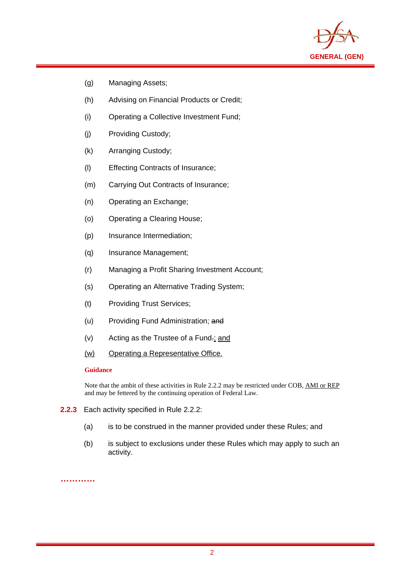

(g) Managing Assets;

i

- (h) Advising on Financial Products or Credit;
- (i) Operating a Collective Investment Fund;
- (j) Providing Custody;
- (k) Arranging Custody;
- (l) Effecting Contracts of Insurance;
- (m) Carrying Out Contracts of Insurance;
- (n) Operating an Exchange;
- (o) Operating a Clearing House;
- (p) Insurance Intermediation;
- (q) Insurance Management;
- (r) Managing a Profit Sharing Investment Account;
- (s) Operating an Alternative Trading System;
- (t) Providing Trust Services;
- (u) Providing Fund Administration; and
- (v) Acting as the Trustee of a Fund.; and
- (w) Operating a Representative Office.

#### **Guidance**

Note that the ambit of these activities in Rule 2.2.2 may be restricted under COB, AMI or REP and may be fettered by the continuing operation of Federal Law.

- **2.2.3** Each activity specified in Rule 2.2.2:
	- (a) is to be construed in the manner provided under these Rules; and
	- (b) is subject to exclusions under these Rules which may apply to such an activity.

**…………**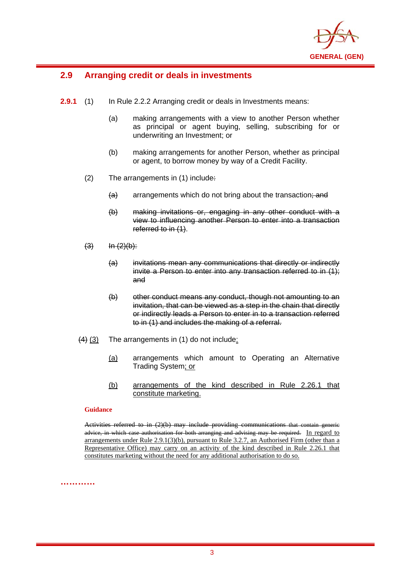

#### i **2.9 Arranging credit or deals in investments**

- **2.9.1** (1) In Rule 2.2.2 Arranging credit or deals in Investments means:
	- (a) making arrangements with a view to another Person whether as principal or agent buying, selling, subscribing for or underwriting an Investment; or
	- (b) making arrangements for another Person, whether as principal or agent, to borrow money by way of a Credit Facility.
	- $(2)$  The arrangements in  $(1)$  include:
		- $(a)$  arrangements which do not bring about the transaction; and
		- (b) making invitations or, engaging in any other conduct with a view to influencing another Person to enter into a transaction referred to in  $(1)$ .
	- $(3)$   $\ln (2)(b)$ :
		- (a) invitations mean any communications that directly or indirectly invite a Person to enter into any transaction referred to in (1); and
		- (b) other conduct means any conduct, though not amounting to an invitation, that can be viewed as a step in the chain that directly or indirectly leads a Person to enter in to a transaction referred to in (1) and includes the making of a referral.
	- $(4)$  (3) The arrangements in (1) do not include:
		- (a) arrangements which amount to Operating an Alternative Trading System; or
		- (b) arrangements of the kind described in Rule 2.26.1 that constitute marketing.

#### **Guidance**

Activities referred to in (2)(b) may include providing communications that contain generic advice, in which case authorisation for both arranging and advising may be required. In regard to arrangements under Rule 2.9.1(3)(b), pursuant to Rule 3.2.7, an Authorised Firm (other than a Representative Office) may carry on an activity of the kind described in Rule 2.26.1 that constitutes marketing without the need for any additional authorisation to do so.

**…………**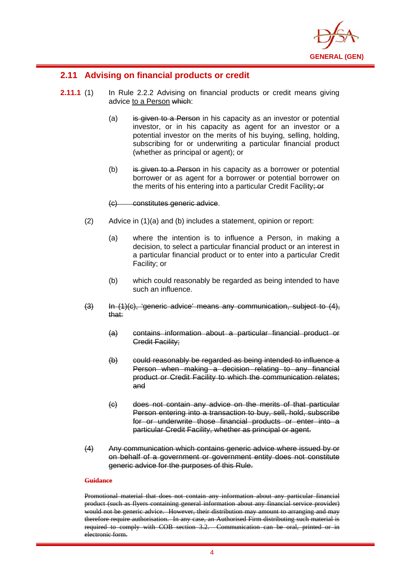

#### **2.11 Advising on financial products or credit**

i

- **2.11.1** (1) In Rule 2.2.2 Advising on financial products or credit means giving advice to a Person which:
	- (a) is given to a Person in his capacity as an investor or potential investor, or in his capacity as agent for an investor or a potential investor on the merits of his buying, selling, holding, subscribing for or underwriting a particular financial product (whether as principal or agent); or
	- $(b)$  is given to a Person in his capacity as a borrower or potential borrower or as agent for a borrower or potential borrower on the merits of his entering into a particular Credit Facility; or

#### (c) constitutes generic advice.

- (2) Advice in (1)(a) and (b) includes a statement, opinion or report:
	- (a) where the intention is to influence a Person, in making a decision, to select a particular financial product or an interest in a particular financial product or to enter into a particular Credit Facility; or
	- (b) which could reasonably be regarded as being intended to have such an influence.
- (3) In (1)(c), 'generic advice' means any communication, subject to (4), that:
	- (a) contains information about a particular financial product or Credit Facility;
	- (b) could reasonably be regarded as being intended to influence a Person when making a decision relating to any financial product or Credit Facility to which the communication relates; and
	- (c) does not contain any advice on the merits of that particular Person entering into a transaction to buy, sell, hold, subscribe for or underwrite those financial products or enter into a particular Credit Facility, whether as principal or agent.
- (4) Any communication which contains generic advice where issued by or on behalf of a government or government entity does not constitute generic advice for the purposes of this Rule.

#### **Guidance**

Promotional material that does not contain any information about any particular financial product (such as flyers containing general information about any financial service provider) would not be generic advice. However, their distribution may amount to arranging and may therefore require authorisation. In any case, an Authorised Firm distributing such material is required to comply with COB section 3.2. Communication can be oral, printed or in electronic form.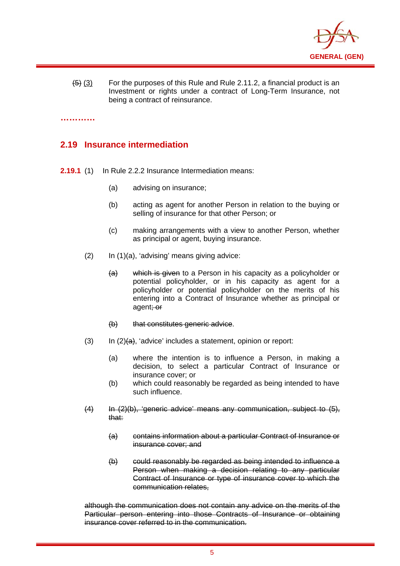

(5) (3) For the purposes of this Rule and Rule 2.11.2, a financial product is an Investment or rights under a contract of Long-Term Insurance, not being a contract of reinsurance.

**…………** 

i

#### **2.19 Insurance intermediation**

- **2.19.1** (1) In Rule 2.2.2 Insurance Intermediation means:
	- (a) advising on insurance;
	- (b) acting as agent for another Person in relation to the buying or selling of insurance for that other Person; or
	- (c) making arrangements with a view to another Person, whether as principal or agent, buying insurance.
	- $(2)$  In  $(1)(a)$ , 'advising' means giving advice:
		- (a) which is given to a Person in his capacity as a policyholder or potential policyholder, or in his capacity as agent for a policyholder or potential policyholder on the merits of his entering into a Contract of Insurance whether as principal or agent; or
		- (b) that constitutes generic advice.
	- $(3)$  In  $(2)(a)$ , 'advice' includes a statement, opinion or report:
		- (a) where the intention is to influence a Person, in making a decision, to select a particular Contract of Insurance or insurance cover; or
		- (b) which could reasonably be regarded as being intended to have such influence.
	- (4) In (2)(b), 'generic advice' means any communication, subject to (5), that:
		- (a) contains information about a particular Contract of Insurance or insurance cover; and
		- (b) could reasonably be regarded as being intended to influence a Person when making a decision relating to any particular Contract of Insurance or type of insurance cover to which the communication relates,

although the communication does not contain any advice on the merits of the Particular person entering into those Contracts of Insurance or obtaining insurance cover referred to in the communication.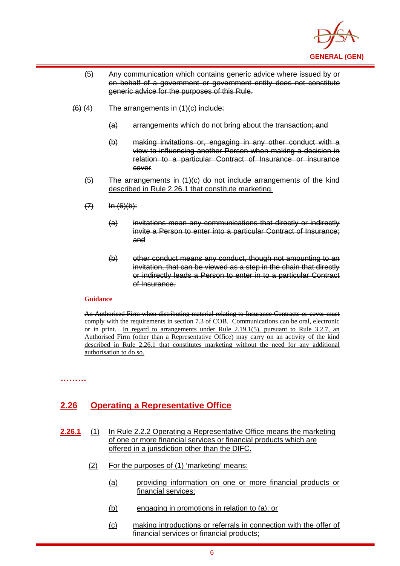

- (5) Any communication which contains generic advice where issued by or on behalf of a government or government entity does not constitute generic advice for the purposes of this Rule.
- $(6)$  (4) The arrangements in (1)(c) include:
	- $(a)$  arrangements which do not bring about the transaction; and
	- (b) making invitations or, engaging in any other conduct with a view to influencing another Person when making a decision in relation to a particular Contract of Insurance or insurance cover.
	- (5) The arrangements in (1)(c) do not include arrangements of the kind described in Rule 2.26.1 that constitute marketing.
	- $(7)$   $\ln (6)(b)$ :
		- (a) invitations mean any communications that directly or indirectly invite a Person to enter into a particular Contract of Insurance; and
		- (b) other conduct means any conduct, though not amounting to an invitation, that can be viewed as a step in the chain that directly or indirectly leads a Person to enter in to a particular Contract of Insurance.

#### **Guidance**

An Authorised Firm when distributing material relating to Insurance Contracts or cover must comply with the requirements in section 7.3 of COB. Communications can be oral, electronic or in print. In regard to arrangements under Rule 2.19.1(5), pursuant to Rule 3.2.7, an Authorised Firm (other than a Representative Office) may carry on an activity of the kind described in Rule 2.26.1 that constitutes marketing without the need for any additional authorisation to do so.

**………** 

i

# **2.26 Operating a Representative Office**

**2.26.1** (1) In Rule 2.2.2 Operating a Representative Office means the marketing of one or more financial services or financial products which are offered in a jurisdiction other than the DIFC.

- (2) For the purposes of (1) 'marketing' means:
	- (a) providing information on one or more financial products or financial services;
	- (b) engaging in promotions in relation to (a); or
	- (c) making introductions or referrals in connection with the offer of financial services or financial products;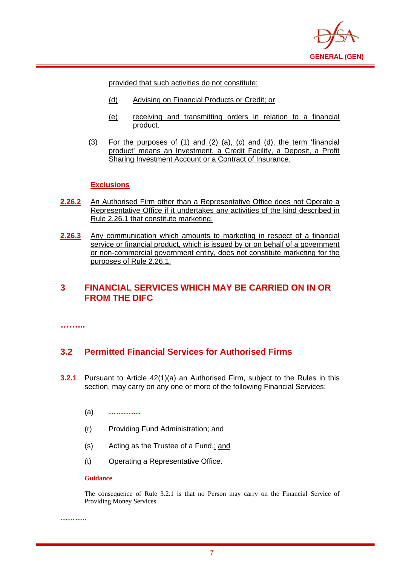

provided that such activities do not constitute:

- (d) Advising on Financial Products or Credit; or
- (e) receiving and transmitting orders in relation to a financial product.
- (3) For the purposes of (1) and (2) (a), (c) and (d), the term 'financial product' means an Investment, a Credit Facility, a Deposit, a Profit Sharing Investment Account or a Contract of Insurance.

#### **Exclusions**

- **2.26.2** An Authorised Firm other than a Representative Office does not Operate a Representative Office if it undertakes any activities of the kind described in Rule 2.26.1 that constitute marketing.
- **2.26.3** Any communication which amounts to marketing in respect of a financial service or financial product, which is issued by or on behalf of a government or non-commercial government entity, does not constitute marketing for the purposes of Rule 2.26.1.

### **3 FINANCIAL SERVICES WHICH MAY BE CARRIED ON IN OR FROM THE DIFC**

**……...** 

i

#### **3.2 Permitted Financial Services for Authorised Firms**

- **3.2.1** Pursuant to Article 42(1)(a) an Authorised Firm, subject to the Rules in this section, may carry on any one or more of the following Financial Services:
	- (a) **………….**
	- (r) Providing Fund Administration; and
	- (s) Acting as the Trustee of a Fund.; and
	- (t) Operating a Representative Office.

#### **Guidance**

**………..** 

The consequence of Rule 3.2.1 is that no Person may carry on the Financial Service of Providing Money Services.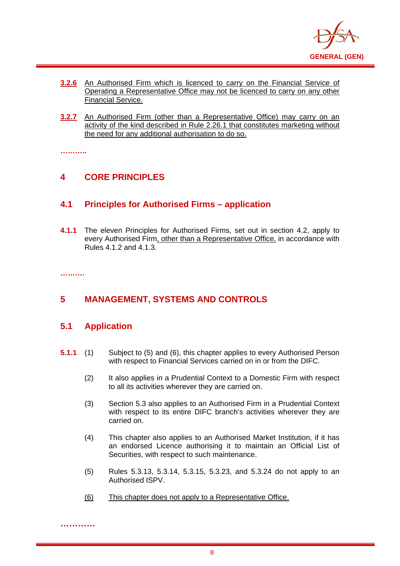

- **3.2.6** An Authorised Firm which is licenced to carry on the Financial Service of Operating a Representative Office may not be licenced to carry on any other Financial Service.
- **3.2.7** An Authorised Firm (other than a Representative Office) may carry on an activity of the kind described in Rule 2.26.1 that constitutes marketing without the need for any additional authorisation to do so.

**………..**

i

# **4 CORE PRINCIPLES**

#### **4.1 Principles for Authorised Firms – application**

**4.1.1** The eleven Principles for Authorised Firms, set out in section 4.2, apply to every Authorised Firm, other than a Representative Office, in accordance with Rules 4.1.2 and 4.1.3.

**……….**

**…………** 

# **5 MANAGEMENT, SYSTEMS AND CONTROLS**

#### **5.1 Application**

- **5.1.1** (1) Subject to (5) and (6), this chapter applies to every Authorised Person with respect to Financial Services carried on in or from the DIFC.
	- (2) It also applies in a Prudential Context to a Domestic Firm with respect to all its activities wherever they are carried on.
	- (3) Section 5.3 also applies to an Authorised Firm in a Prudential Context with respect to its entire DIFC branch's activities wherever they are carried on.
	- (4) This chapter also applies to an Authorised Market Institution, if it has an endorsed Licence authorising it to maintain an Official List of Securities, with respect to such maintenance.
	- (5) Rules 5.3.13, 5.3.14, 5.3.15, 5.3.23, and 5.3.24 do not apply to an Authorised ISPV.
	- (6) This chapter does not apply to a Representative Office.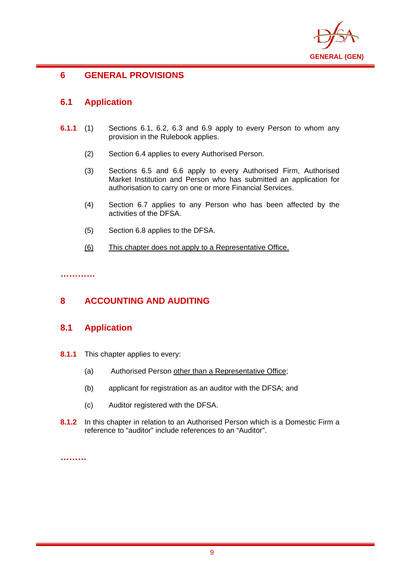

#### **6 GENERAL PROVISIONS**

### **6.1 Application**

i

- **6.1.1** (1) Sections 6.1, 6.2, 6.3 and 6.9 apply to every Person to whom any provision in the Rulebook applies.
	- (2) Section 6.4 applies to every Authorised Person.
	- (3) Sections 6.5 and 6.6 apply to every Authorised Firm, Authorised Market Institution and Person who has submitted an application for authorisation to carry on one or more Financial Services.
	- (4) Section 6.7 applies to any Person who has been affected by the activities of the DFSA.
	- (5) Section 6.8 applies to the DFSA.
	- (6) This chapter does not apply to a Representative Office.

**…………** 

# **8 ACCOUNTING AND AUDITING**

#### **8.1 Application**

- **8.1.1** This chapter applies to every:
	- (a) Authorised Person other than a Representative Office;
	- (b) applicant for registration as an auditor with the DFSA; and
	- (c) Auditor registered with the DFSA.
- **8.1.2** In this chapter in relation to an Authorised Person which is a Domestic Firm a reference to "auditor" include references to an "Auditor".

**………**